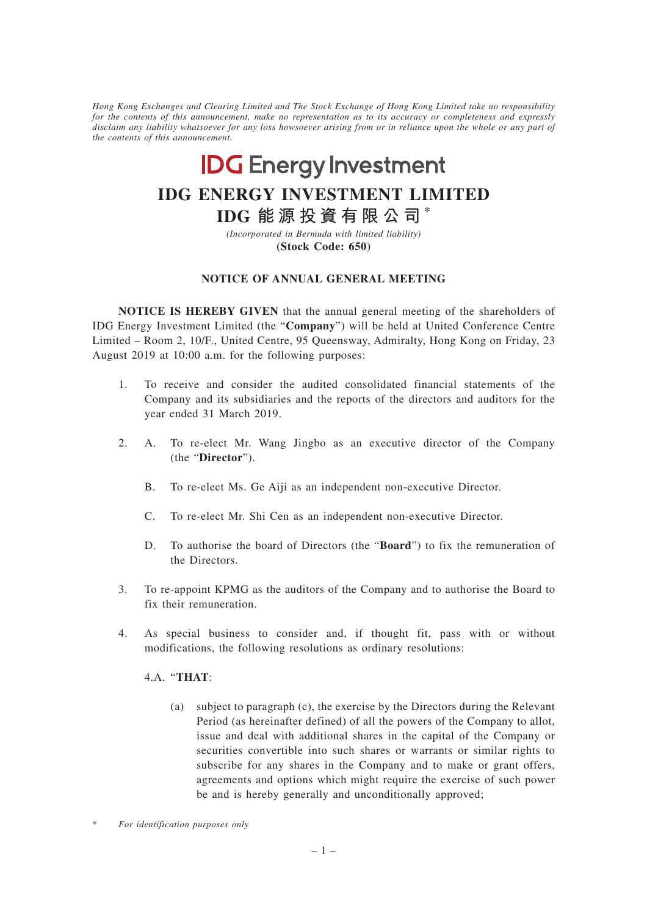*Hong Kong Exchanges and Clearing Limited and The Stock Exchange of Hong Kong Limited take no responsibility for the contents of this announcement, make no representation as to its accuracy or completeness and expressly disclaim any liability whatsoever for any loss howsoever arising from or in reliance upon the whole or any part of the contents of this announcement.*

# **IDG** Energy Investment

## **IDG ENERGY INVESTMENT LIMITED**

### **IDG 能源投資有限公司 \***

*(Incorporated in Bermuda with limited liability)* **(Stock Code: 650)**

### **NOTICE OF ANNUAL GENERAL MEETING**

**NOTICE IS HEREBY GIVEN** that the annual general meeting of the shareholders of IDG Energy Investment Limited (the "**Company**") will be held at United Conference Centre Limited – Room 2, 10/F., United Centre, 95 Queensway, Admiralty, Hong Kong on Friday, 23 August 2019 at 10:00 a.m. for the following purposes:

- 1. To receive and consider the audited consolidated financial statements of the Company and its subsidiaries and the reports of the directors and auditors for the year ended 31 March 2019.
- 2. A. To re-elect Mr. Wang Jingbo as an executive director of the Company (the "**Director**").
	- B. To re-elect Ms. Ge Aiji as an independent non-executive Director.
	- C. To re-elect Mr. Shi Cen as an independent non-executive Director.
	- D. To authorise the board of Directors (the "**Board**") to fix the remuneration of the Directors.
- 3. To re-appoint KPMG as the auditors of the Company and to authorise the Board to fix their remuneration.
- 4. As special business to consider and, if thought fit, pass with or without modifications, the following resolutions as ordinary resolutions:

### 4.A. '"**THAT**:

(a) subject to paragraph (c), the exercise by the Directors during the Relevant Period (as hereinafter defined) of all the powers of the Company to allot, issue and deal with additional shares in the capital of the Company or securities convertible into such shares or warrants or similar rights to subscribe for any shares in the Company and to make or grant offers, agreements and options which might require the exercise of such power be and is hereby generally and unconditionally approved;

 $For$  *identification purposes only*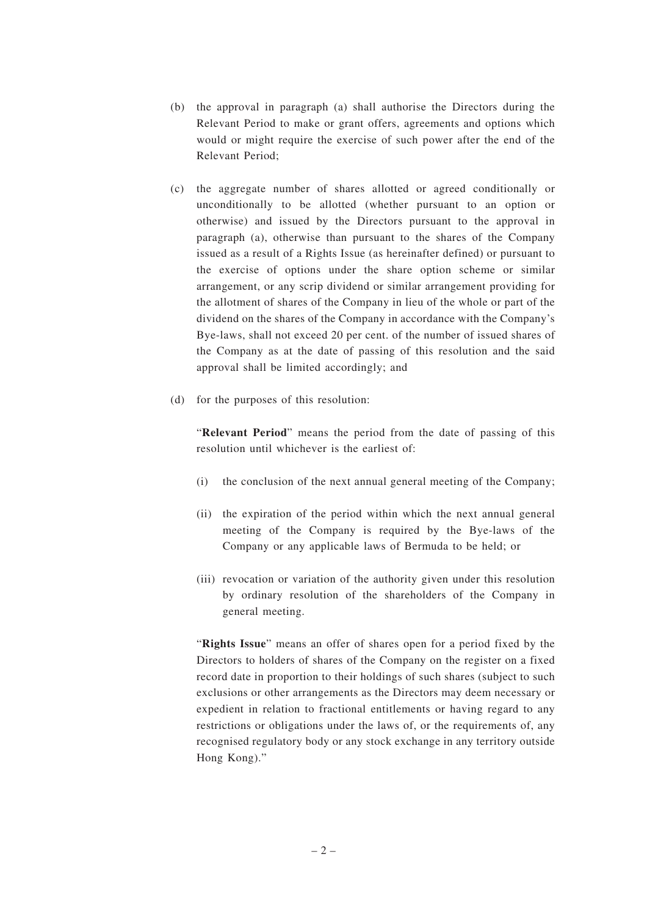- (b) the approval in paragraph (a) shall authorise the Directors during the Relevant Period to make or grant offers, agreements and options which would or might require the exercise of such power after the end of the Relevant Period;
- (c) the aggregate number of shares allotted or agreed conditionally or unconditionally to be allotted (whether pursuant to an option or otherwise) and issued by the Directors pursuant to the approval in paragraph (a), otherwise than pursuant to the shares of the Company issued as a result of a Rights Issue (as hereinafter defined) or pursuant to the exercise of options under the share option scheme or similar arrangement, or any scrip dividend or similar arrangement providing for the allotment of shares of the Company in lieu of the whole or part of the dividend on the shares of the Company in accordance with the Company's Bye-laws, shall not exceed 20 per cent. of the number of issued shares of the Company as at the date of passing of this resolution and the said approval shall be limited accordingly; and
- (d) for the purposes of this resolution:

"**Relevant Period**" means the period from the date of passing of this resolution until whichever is the earliest of:

- (i) the conclusion of the next annual general meeting of the Company;
- (ii) the expiration of the period within which the next annual general meeting of the Company is required by the Bye-laws of the Company or any applicable laws of Bermuda to be held; or
- (iii) revocation or variation of the authority given under this resolution by ordinary resolution of the shareholders of the Company in general meeting.

"**Rights Issue**" means an offer of shares open for a period fixed by the Directors to holders of shares of the Company on the register on a fixed record date in proportion to their holdings of such shares (subject to such exclusions or other arrangements as the Directors may deem necessary or expedient in relation to fractional entitlements or having regard to any restrictions or obligations under the laws of, or the requirements of, any recognised regulatory body or any stock exchange in any territory outside Hong Kong)."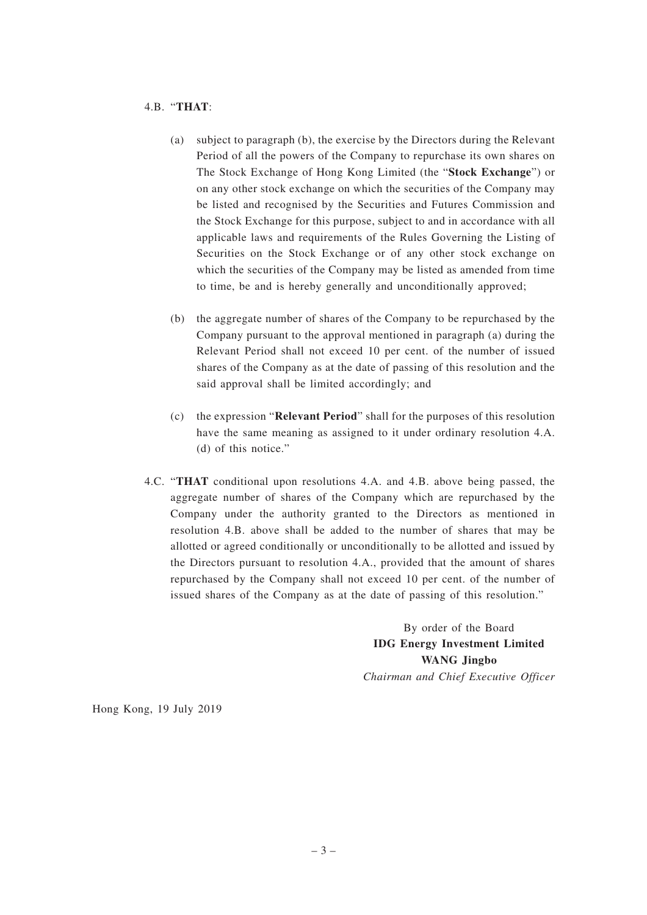#### 4.B. "**THAT**:

- (a) subject to paragraph (b), the exercise by the Directors during the Relevant Period of all the powers of the Company to repurchase its own shares on The Stock Exchange of Hong Kong Limited (the "**Stock Exchange**") or on any other stock exchange on which the securities of the Company may be listed and recognised by the Securities and Futures Commission and the Stock Exchange for this purpose, subject to and in accordance with all applicable laws and requirements of the Rules Governing the Listing of Securities on the Stock Exchange or of any other stock exchange on which the securities of the Company may be listed as amended from time to time, be and is hereby generally and unconditionally approved;
- (b) the aggregate number of shares of the Company to be repurchased by the Company pursuant to the approval mentioned in paragraph (a) during the Relevant Period shall not exceed 10 per cent. of the number of issued shares of the Company as at the date of passing of this resolution and the said approval shall be limited accordingly; and
- (c) the expression "**Relevant Period**" shall for the purposes of this resolution have the same meaning as assigned to it under ordinary resolution 4.A. (d) of this notice."
- 4.C. "**THAT** conditional upon resolutions 4.A. and 4.B. above being passed, the aggregate number of shares of the Company which are repurchased by the Company under the authority granted to the Directors as mentioned in resolution 4.B. above shall be added to the number of shares that may be allotted or agreed conditionally or unconditionally to be allotted and issued by the Directors pursuant to resolution 4.A., provided that the amount of shares repurchased by the Company shall not exceed 10 per cent. of the number of issued shares of the Company as at the date of passing of this resolution."

By order of the Board **IDG Energy Investment Limited WANG Jingbo** *Chairman and Chief Executive Officer*

Hong Kong, 19 July 2019